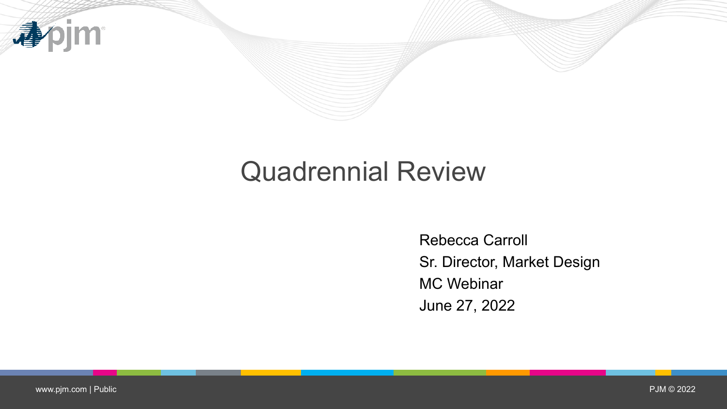

## Quadrennial Review

Rebecca Carroll Sr. Director, Market Design MC Webinar June 27, 2022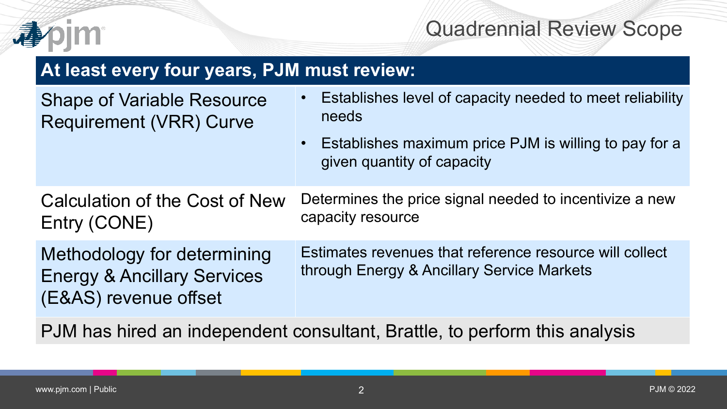

## Quadrennial Review Scope

| At least every four years, PJM must review:                                                    |                                                                                                                                                                                    |  |  |  |  |  |  |  |  |
|------------------------------------------------------------------------------------------------|------------------------------------------------------------------------------------------------------------------------------------------------------------------------------------|--|--|--|--|--|--|--|--|
| <b>Shape of Variable Resource</b><br><b>Requirement (VRR) Curve</b>                            | Establishes level of capacity needed to meet reliability<br>$\bullet$<br>needs<br>Establishes maximum price PJM is willing to pay for a<br>$\bullet$<br>given quantity of capacity |  |  |  |  |  |  |  |  |
| Calculation of the Cost of New<br>Entry (CONE)                                                 | Determines the price signal needed to incentivize a new<br>capacity resource                                                                                                       |  |  |  |  |  |  |  |  |
| Methodology for determining<br><b>Energy &amp; Ancillary Services</b><br>(E&AS) revenue offset | Estimates revenues that reference resource will collect<br>through Energy & Ancillary Service Markets                                                                              |  |  |  |  |  |  |  |  |

PJM has hired an independent consultant, Brattle, to perform this analysis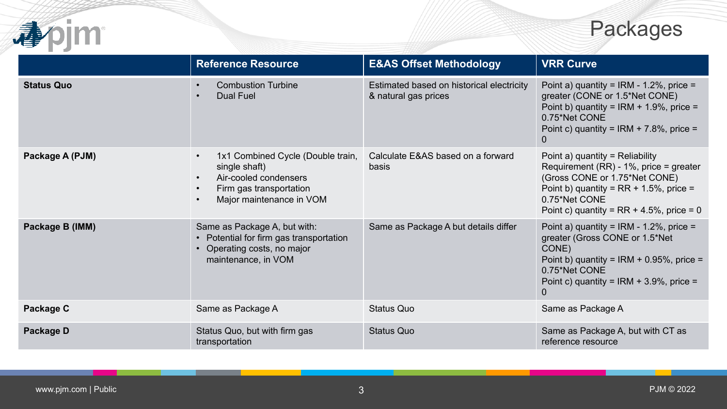



|                   | <b>Reference Resource</b>                                                                                                                                                              | <b>E&amp;AS Offset Methodology</b>                                | <b>VRR Curve</b>                                                                                                                                                                                                            |  |  |  |
|-------------------|----------------------------------------------------------------------------------------------------------------------------------------------------------------------------------------|-------------------------------------------------------------------|-----------------------------------------------------------------------------------------------------------------------------------------------------------------------------------------------------------------------------|--|--|--|
| <b>Status Quo</b> | <b>Combustion Turbine</b><br>$\bullet$<br>Dual Fuel<br>$\bullet$                                                                                                                       | Estimated based on historical electricity<br>& natural gas prices | Point a) quantity = IRM - 1.2%, price =<br>greater (CONE or 1.5*Net CONE)<br>Point b) quantity = IRM + 1.9%, price =<br>0.75*Net CONE<br>Point c) quantity = IRM + 7.8%, price =<br>0                                       |  |  |  |
| Package A (PJM)   | 1x1 Combined Cycle (Double train,<br>$\bullet$<br>single shaft)<br>Air-cooled condensers<br>$\bullet$<br>Firm gas transportation<br>$\bullet$<br>Major maintenance in VOM<br>$\bullet$ | Calculate E&AS based on a forward<br>basis                        | Point a) quantity = Reliability<br>Requirement (RR) - $1\%$ , price = greater<br>(Gross CONE or 1.75*Net CONE)<br>Point b) quantity = $RR + 1.5%$ , price =<br>0.75*Net CONE<br>Point c) quantity = $RR + 4.5%$ , price = 0 |  |  |  |
| Package B (IMM)   | Same as Package A, but with:<br>• Potential for firm gas transportation<br>• Operating costs, no major<br>maintenance, in VOM                                                          | Same as Package A but details differ                              | Point a) quantity = IRM - 1.2%, price =<br>greater (Gross CONE or 1.5*Net<br>CONE)<br>Point b) quantity = IRM + $0.95\%$ , price =<br>0.75*Net CONE<br>Point c) quantity = IRM + 3.9%, price =<br>0                         |  |  |  |
| Package C         | Same as Package A                                                                                                                                                                      | <b>Status Quo</b>                                                 | Same as Package A                                                                                                                                                                                                           |  |  |  |
| Package D         | Status Quo, but with firm gas<br>transportation                                                                                                                                        | <b>Status Quo</b>                                                 | Same as Package A, but with CT as<br>reference resource                                                                                                                                                                     |  |  |  |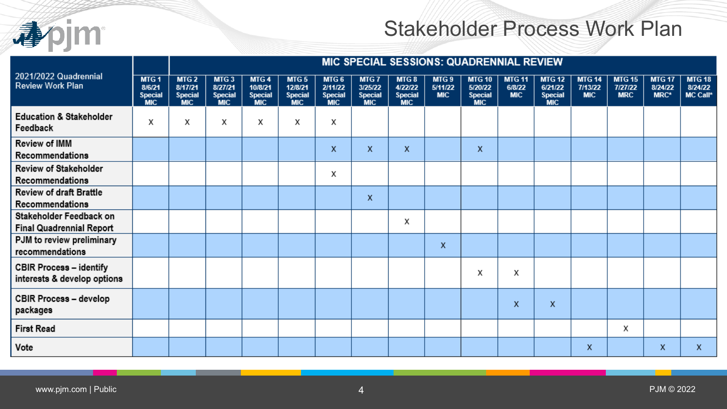

## Stakeholder Process Work Plan

| 2021/2022 Quadrennial<br><b>Review Work Plan</b>              |                                                            | MIC SPECIAL SESSIONS: QUADRENNIAL REVIEW                    |                                                             |                                                 |                                                             |                                                  |                                                  |                                                  |                                           |                                                          |                                       |                                                          |                                        |                                        |                                  |                                      |
|---------------------------------------------------------------|------------------------------------------------------------|-------------------------------------------------------------|-------------------------------------------------------------|-------------------------------------------------|-------------------------------------------------------------|--------------------------------------------------|--------------------------------------------------|--------------------------------------------------|-------------------------------------------|----------------------------------------------------------|---------------------------------------|----------------------------------------------------------|----------------------------------------|----------------------------------------|----------------------------------|--------------------------------------|
|                                                               | MTG <sub>1</sub><br>8/6/21<br><b>Special</b><br><b>MIC</b> | MTG <sub>2</sub><br>8/17/21<br><b>Special</b><br><b>MIC</b> | MTG <sub>3</sub><br>8/27/21<br><b>Special</b><br><b>MIC</b> | MTG4<br>10/8/21<br><b>Special</b><br><b>MIC</b> | MTG <sub>5</sub><br>12/8/21<br><b>Special</b><br><b>MIC</b> | MTG 6<br>2/11/22<br><b>Special</b><br><b>MIC</b> | MTG 7<br>3/25/22<br><b>Special</b><br><b>MIC</b> | MTG 8<br>4/22/22<br><b>Special</b><br><b>MIC</b> | MTG <sub>9</sub><br>5/11/22<br><b>MIC</b> | <b>MTG 10</b><br>5/20/22<br><b>Special</b><br><b>MIC</b> | <b>MTG 11</b><br>6/8/22<br><b>MIC</b> | <b>MTG 12</b><br>6/21/22<br><b>Special</b><br><b>MIC</b> | <b>MTG 14</b><br>7/13/22<br><b>MIC</b> | <b>MTG 15</b><br>7/27/22<br><b>MRC</b> | <b>MTG 17</b><br>8/24/22<br>MRC* | <b>MTG 18</b><br>8/24/22<br>MC Call* |
| <b>Education &amp; Stakeholder</b><br>Feedback                | Χ                                                          | х                                                           | Χ                                                           | Χ                                               | х                                                           | Χ                                                |                                                  |                                                  |                                           |                                                          |                                       |                                                          |                                        |                                        |                                  |                                      |
| Review of IMM<br>Recommendations                              |                                                            |                                                             |                                                             |                                                 |                                                             | X                                                | X                                                | X                                                |                                           | X                                                        |                                       |                                                          |                                        |                                        |                                  |                                      |
| Review of Stakeholder<br>Recommendations                      |                                                            |                                                             |                                                             |                                                 |                                                             | Χ                                                |                                                  |                                                  |                                           |                                                          |                                       |                                                          |                                        |                                        |                                  |                                      |
| Review of draft Brattle<br>Recommendations                    |                                                            |                                                             |                                                             |                                                 |                                                             |                                                  | X                                                |                                                  |                                           |                                                          |                                       |                                                          |                                        |                                        |                                  |                                      |
| Stakeholder Feedback on<br><b>Final Quadrennial Report</b>    |                                                            |                                                             |                                                             |                                                 |                                                             |                                                  |                                                  | х                                                |                                           |                                                          |                                       |                                                          |                                        |                                        |                                  |                                      |
| PJM to review preliminary<br>recommendations                  |                                                            |                                                             |                                                             |                                                 |                                                             |                                                  |                                                  |                                                  | X                                         |                                                          |                                       |                                                          |                                        |                                        |                                  |                                      |
| <b>CBIR Process - identify</b><br>interests & develop options |                                                            |                                                             |                                                             |                                                 |                                                             |                                                  |                                                  |                                                  |                                           | Χ                                                        | х                                     |                                                          |                                        |                                        |                                  |                                      |
| <b>CBIR Process - develop</b><br>packages                     |                                                            |                                                             |                                                             |                                                 |                                                             |                                                  |                                                  |                                                  |                                           |                                                          | X                                     | X                                                        |                                        |                                        |                                  |                                      |
| <b>First Read</b>                                             |                                                            |                                                             |                                                             |                                                 |                                                             |                                                  |                                                  |                                                  |                                           |                                                          |                                       |                                                          |                                        | Χ                                      |                                  |                                      |
| Vote                                                          |                                                            |                                                             |                                                             |                                                 |                                                             |                                                  |                                                  |                                                  |                                           |                                                          |                                       |                                                          | X                                      |                                        | x                                | x                                    |